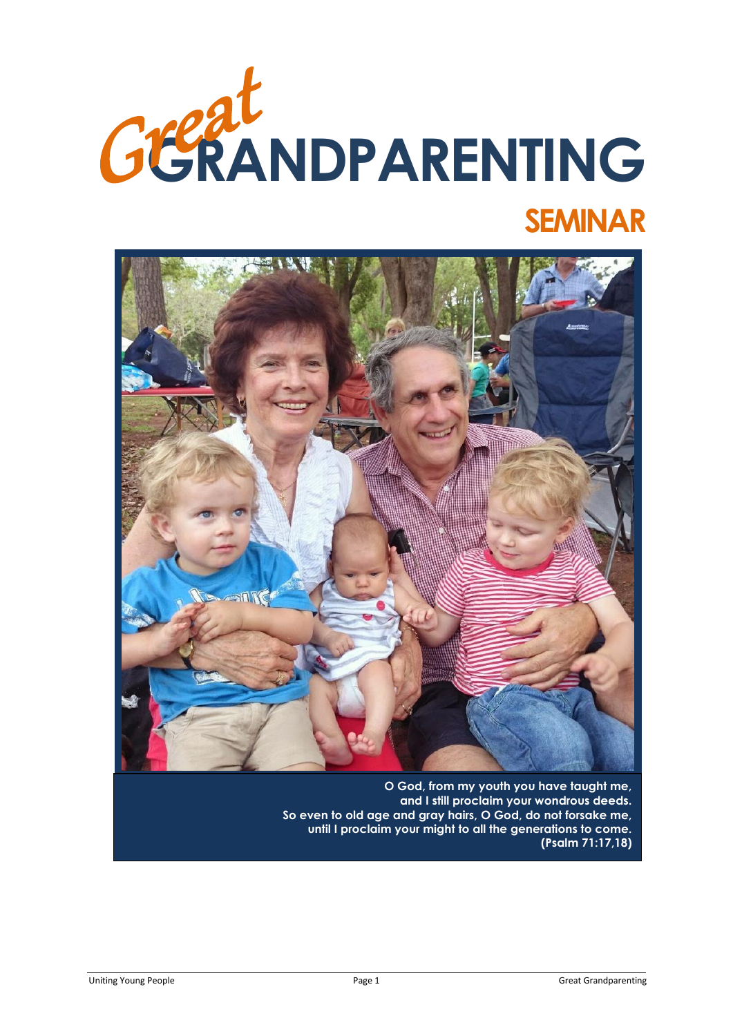



**O God, from my youth you have taught me, and I still proclaim your wondrous deeds. So even to old age and gray hairs, O God, do not forsake me, until I proclaim your might to all the generations to come. (Psalm 71:17,18)**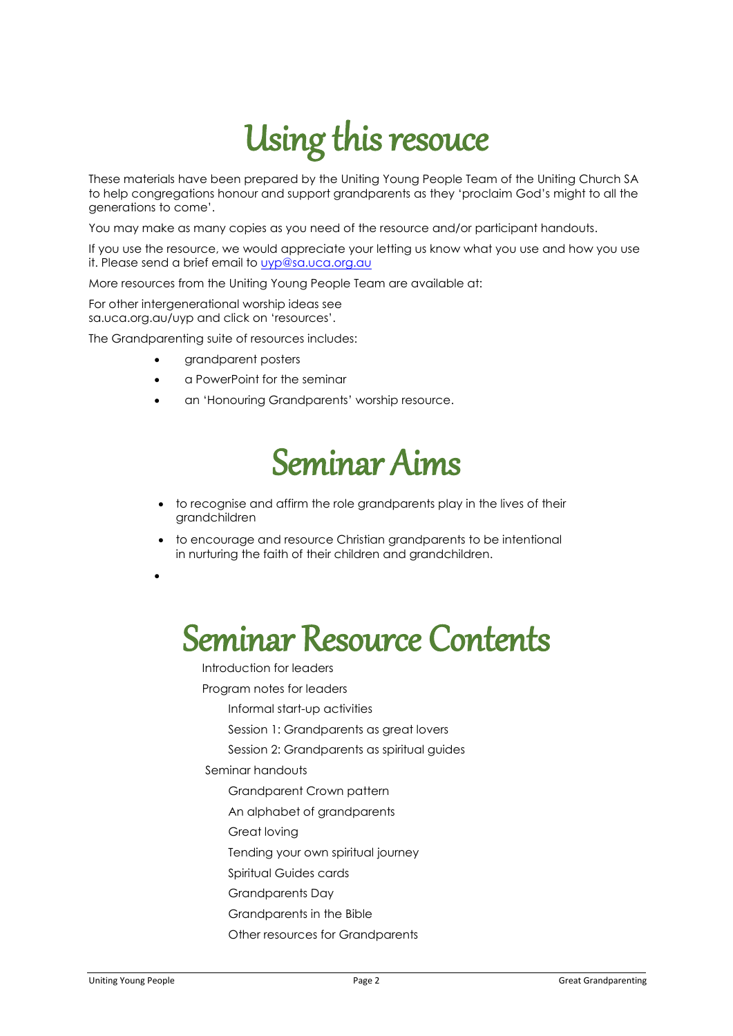# Using this resouce

These materials have been prepared by the Uniting Young People Team of the Uniting Church SA to help congregations honour and support grandparents as they 'proclaim God's might to all the generations to come'.

You may make as many copies as you need of the resource and/or participant handouts.

If you use the resource, we would appreciate your letting us know what you use and how you use it. Please send a brief email to [uyp@sa.uca.org.au](mailto:uyp@sa.uca.org.au)

More resources from the Uniting Young People Team are available at:

For other intergenerational worship ideas see sa.uca.org.au/uyp and click on 'resources'.

The Grandparenting suite of resources includes:

- grandparent posters
- a PowerPoint for the seminar
- an 'Honouring Grandparents' worship resource.

# Seminar Aims

- to recognise and affirm the role grandparents play in the lives of their grandchildren
- to encourage and resource Christian grandparents to be intentional in nurturing the faith of their children and grandchildren.

 $\bullet$ 

# Seminar Resource Contents

Introduction for leaders

Program notes for leaders

Informal start-up activities

Session 1: Grandparents as areat lovers

Session 2: Grandparents as spiritual guides

Seminar handouts

Grandparent Crown pattern

An alphabet of grandparents

Great loving

Tending your own spiritual journey

Spiritual Guides cards

Grandparents Day

- Grandparents in the Bible
- Other resources for Grandparents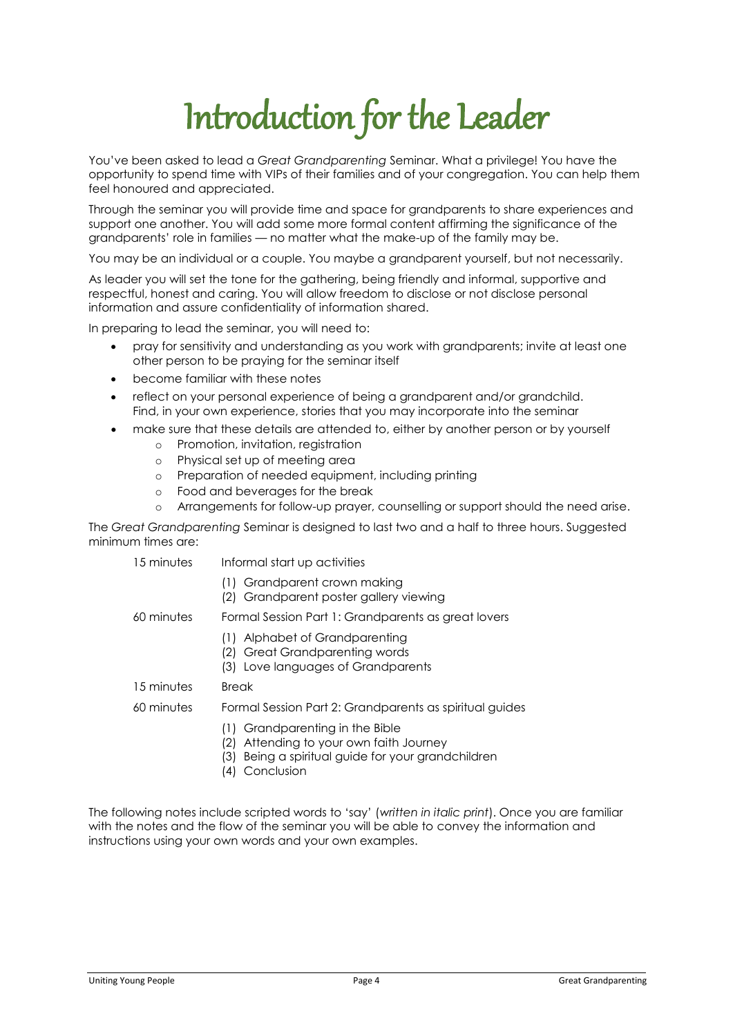# Introduction for the Leader

You've been asked to lead a *Great Grandparenting* Seminar. What a privilege! You have the opportunity to spend time with VIPs of their families and of your congregation. You can help them feel honoured and appreciated.

Through the seminar you will provide time and space for grandparents to share experiences and support one another. You will add some more formal content affirming the significance of the grandparents' role in families — no matter what the make-up of the family may be.

You may be an individual or a couple. You maybe a grandparent yourself, but not necessarily.

As leader you will set the tone for the gathering, being friendly and informal, supportive and respectful, honest and caring. You will allow freedom to disclose or not disclose personal information and assure confidentiality of information shared.

In preparing to lead the seminar, you will need to:

- pray for sensitivity and understanding as you work with grandparents; invite at least one other person to be praying for the seminar itself
- become familiar with these notes
- reflect on your personal experience of being a grandparent and/or grandchild. Find, in your own experience, stories that you may incorporate into the seminar
- make sure that these details are attended to, either by another person or by yourself
	- o Promotion, invitation, registration
	- o Physical set up of meeting area
	- o Preparation of needed equipment, including printing
	- o Food and beverages for the break
	- o Arrangements for follow-up prayer, counselling or support should the need arise.

The *Great Grandparenting* Seminar is designed to last two and a half to three hours. Suggested minimum times are:

- 15 minutes Informal start up activities
	- (1) Grandparent crown making
	- (2) Grandparent poster gallery viewing

60 minutes Formal Session Part 1: Grandparents as great lovers

- (1) Alphabet of Grandparenting
- (2) Great Grandparenting words
- (3) Love languages of Grandparents
- 15 minutes Break

#### 60 minutes Formal Session Part 2: Grandparents as spiritual guides

- (1) Grandparenting in the Bible
- (2) Attending to your own faith Journey
- (3) Being a spiritual guide for your grandchildren
- (4) Conclusion

The following notes include scripted words to 'say' (*written in italic print*). Once you are familiar with the notes and the flow of the seminar you will be able to convey the information and instructions using your own words and your own examples.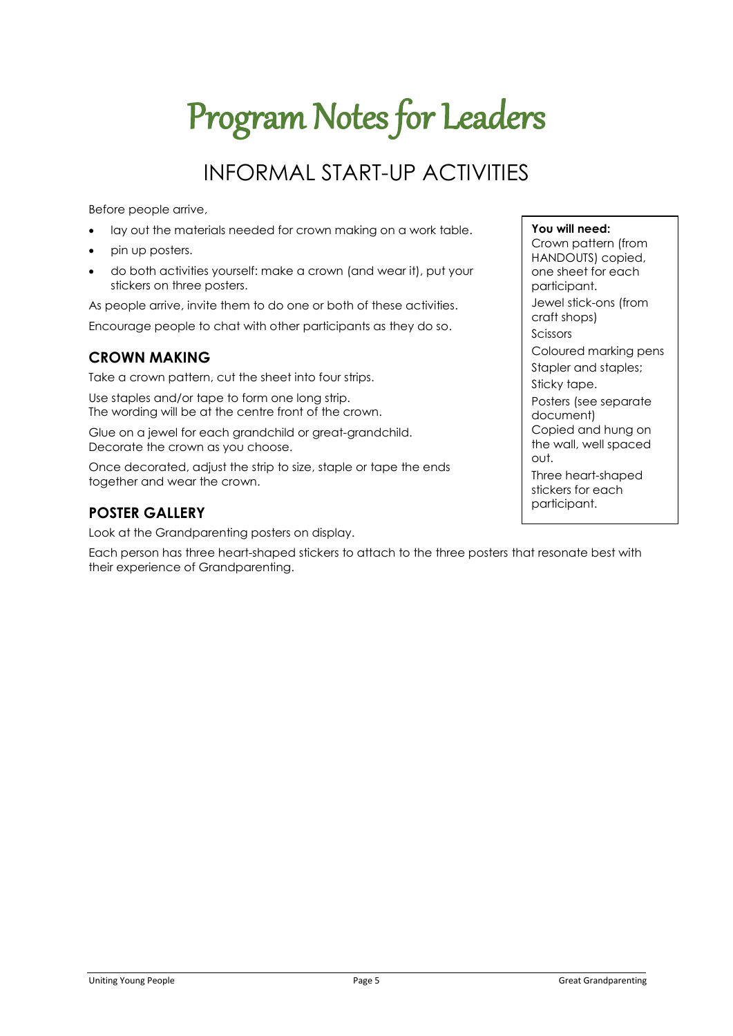# Program Notes for Leaders

# INFORMAL START-UP ACTIVITIES

Before people arrive,

- lay out the materials needed for crown making on a work table.
- pin up posters.
- do both activities yourself: make a crown (and wear it), put your stickers on three posters.

As people arrive, invite them to do one or both of these activities. Encourage people to chat with other participants as they do so.

### **CROWN MAKING**

Take a crown pattern, cut the sheet into four strips.

Use staples and/or tape to form one long strip. The wording will be at the centre front of the crown.

Glue on a jewel for each grandchild or great-grandchild. Decorate the crown as you choose.

Once decorated, adjust the strip to size, staple or tape the ends together and wear the crown.

### **POSTER GALLERY**

Look at the Grandparenting posters on display.

Each person has three heart-shaped stickers to attach to the three posters that resonate best with their experience of Grandparenting.

#### **You will need:**

Crown pattern (from HANDOUTS) copied, one sheet for each participant. Jewel stick-ons (from craft shops) Scissors Coloured marking pens Stapler and staples; Sticky tape. Posters (see separate document) Copied and hung on the wall, well spaced out.

Three heart-shaped stickers for each participant.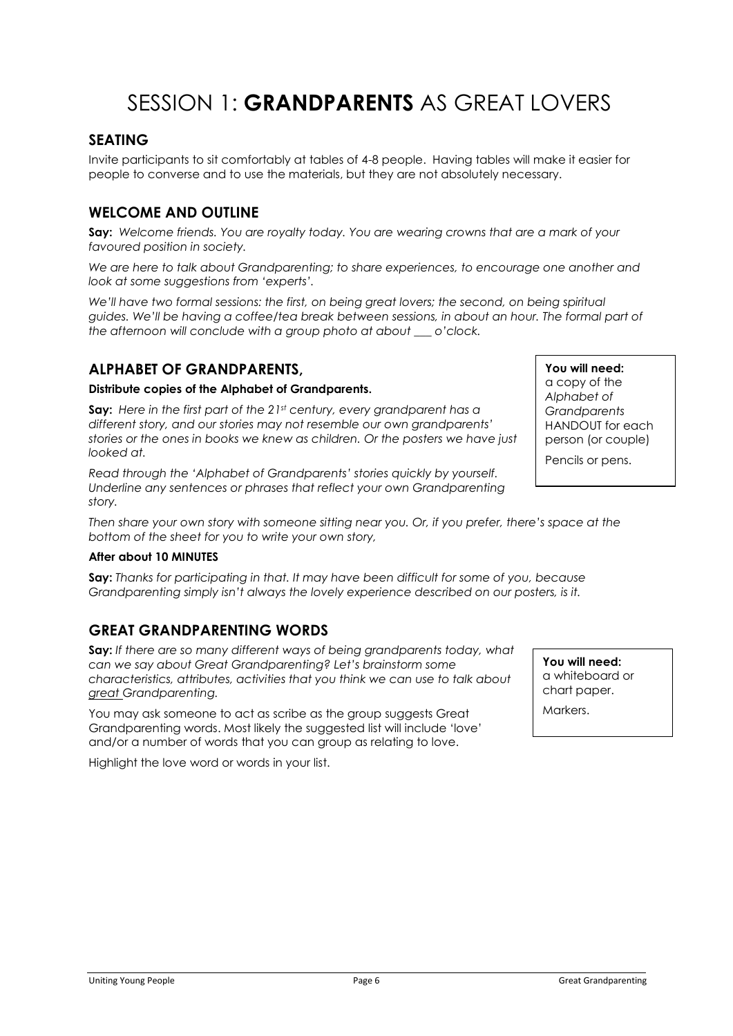## SESSION 1<sup>.</sup> GRANDPARENTS AS GREAT LOVERS

### **SEATING**

Invite participants to sit comfortably at tables of 4-8 people. Having tables will make it easier for people to converse and to use the materials, but they are not absolutely necessary.

### **WELCOME AND OUTLINE**

**Say:** *Welcome friends. You are royalty today. You are wearing crowns that are a mark of your favoured position in society.*

*We are here to talk about Grandparenting; to share experiences, to encourage one another and look at some suggestions from 'experts'.* 

We'll have two formal sessions: the first, on being great lovers; the second, on being spiritual *guides. We'll be having a coffee/tea break between sessions, in about an hour. The formal part of the afternoon will conclude with a group photo at about \_\_\_ o'clock.*

### **ALPHABET OF GRANDPARENTS,**

#### **Distribute copies of the Alphabet of Grandparents.**

**Say:** *Here in the first part of the 21st century, every grandparent has a different story, and our stories may not resemble our own grandparents' stories or the ones in books we knew as children. Or the posters we have just looked at.*

*Read through the 'Alphabet of Grandparents' stories quickly by yourself. Underline any sentences or phrases that reflect your own Grandparenting story.* 

*Then share your own story with someone sitting near you. Or, if you prefer, there's space at the bottom of the sheet for you to write your own story,* 

#### **After about 10 MINUTES**

**Say:** *Thanks for participating in that. It may have been difficult for some of you, because Grandparenting simply isn't always the lovely experience described on our posters, is it.* 

### **GREAT GRANDPARENTING WORDS**

**Say:** *If there are so many different ways of being grandparents today, what can we say about Great Grandparenting? Let's brainstorm some characteristics, attributes, activities that you think we can use to talk about great Grandparenting.*

You may ask someone to act as scribe as the group suggests Great Grandparenting words. Most likely the suggested list will include 'love' and/or a number of words that you can group as relating to love.

Highlight the love word or words in your list.

**You will need:** a copy of the *Alphabet of Grandparents* HANDOUT for each person (or couple)

Pencils or pens.

**You will need:** a whiteboard or chart paper.

Markers.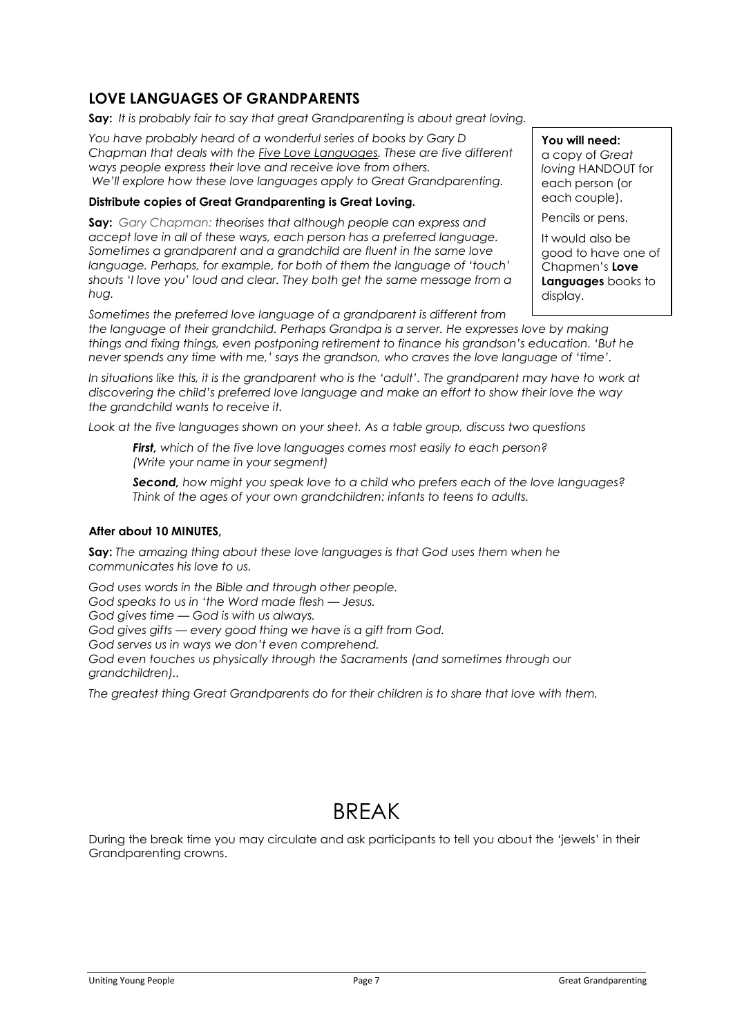### **LOVE LANGUAGES OF GRANDPARENTS**

**Say:** *It is probably fair to say that great Grandparenting is about great loving.*

*You have probably heard of a wonderful series of books by Gary D Chapman that deals with the Five Love Languages. These are five different ways people express their love and receive love from others. We'll explore how these love languages apply to Great Grandparenting.*

#### **Distribute copies of Great Grandparenting is Great Loving.**

**Say:** *Gary Chapman: theorises that although people can express and accept love in all of these ways, each person has a preferred language. Sometimes a grandparent and a grandchild are fluent in the same love language. Perhaps, for example, for both of them the language of 'touch' shouts 'I love you' loud and clear. They both get the same message from a hug.*

**You will need:** a copy of *Great loving* HANDOUT for each person (or each couple).

Pencils or pens.

It would also be good to have one of Chapmen's **Love Languages** books to display.

*Sometimes the preferred love language of a grandparent is different from the language of their grandchild. Perhaps Grandpa is a server. He expresses love by making things and fixing things, even postponing retirement to finance his grandson's education. 'But he never spends any time with me,' says the grandson, who craves the love language of 'time'.* 

*In situations like this, it is the grandparent who is the 'adult'. The grandparent may have to work at discovering the child's preferred love language and make an effort to show their love the way the grandchild wants to receive it.*

*Look at the five languages shown on your sheet. As a table group, discuss two questions*

*First, which of the five love languages comes most easily to each person? (Write your name in your segment)*

*Second, how might you speak love to a child who prefers each of the love languages? Think of the ages of your own grandchildren: infants to teens to adults.*

#### **After about 10 MINUTES,**

**Say:** *The amazing thing about these love languages is that God uses them when he communicates his love to us.* 

*God uses words in the Bible and through other people. God speaks to us in 'the Word made flesh — Jesus. God gives time — God is with us always. God gives gifts — every good thing we have is a gift from God. God serves us in ways we don't even comprehend. God even touches us physically through the Sacraments (and sometimes through our grandchildren)..*

*The greatest thing Great Grandparents do for their children is to share that love with them.*

## **BRFAK**

During the break time you may circulate and ask participants to tell you about the 'jewels' in their Grandparenting crowns.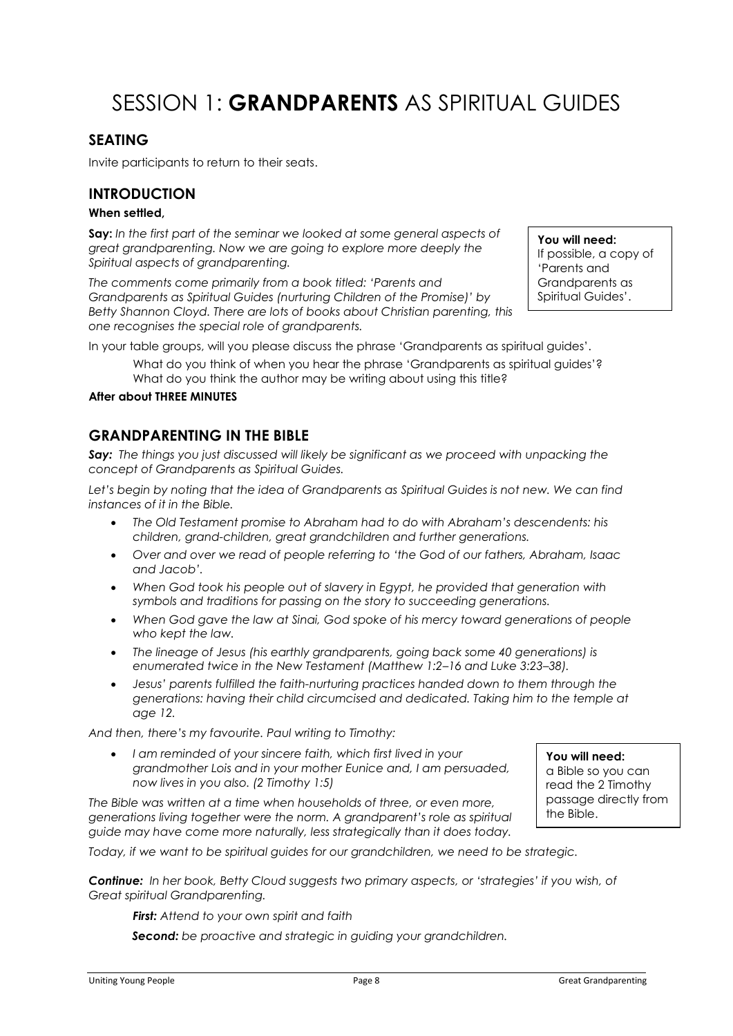# SESSION 1: **GRANDPARENTS** AS SPIRITUAL GUIDES

### **SEATING**

Invite participants to return to their seats.

#### **INTRODUCTION**

#### **When settled,**

**Say:** *In the first part of the seminar we looked at some general aspects of great grandparenting. Now we are going to explore more deeply the Spiritual aspects of grandparenting.*

*The comments come primarily from a book titled: 'Parents and Grandparents as Spiritual Guides (nurturing Children of the Promise)' by Betty Shannon Cloyd. There are lots of books about Christian parenting, this one recognises the special role of grandparents.*

**You will need:**  If possible, a copy of 'Parents and Grandparents as Spiritual Guides'.

In your table groups, will you please discuss the phrase 'Grandparents as spiritual guides'.

What do you think of when you hear the phrase 'Grandparents as spiritual guides'? What do you think the author may be writing about using this title?

#### **After about THREE MINUTES**

### **GRANDPARENTING IN THE BIBLE**

*Say: The things you just discussed will likely be significant as we proceed with unpacking the concept of Grandparents as Spiritual Guides.*

*Let's begin by noting that the idea of Grandparents as Spiritual Guides is not new. We can find instances of it in the Bible.*

- *The Old Testament promise to Abraham had to do with Abraham's descendents: his children, grand-children, great grandchildren and further generations.*
- *Over and over we read of people referring to 'the God of our fathers, Abraham, Isaac and Jacob'.*
- *When God took his people out of slavery in Egypt, he provided that generation with symbols and traditions for passing on the story to succeeding generations.*
- *When God gave the law at Sinai, God spoke of his mercy toward generations of people who kept the law.*
- *The lineage of Jesus (his earthly grandparents, going back some 40 generations) is enumerated twice in the New Testament (Matthew 1:2–16 and Luke 3:23–38).*
- *Jesus' parents fulfilled the faith-nurturing practices handed down to them through the generations: having their child circumcised and dedicated. Taking him to the temple at age 12.*

*And then, there's my favourite. Paul writing to Timothy:*

 *I am reminded of your sincere faith, which first lived in your grandmother Lois and in your mother Eunice and, I am persuaded, now lives in you also. (2 Timothy 1:5)*

*The Bible was written at a time when households of three, or even more, generations living together were the norm. A grandparent's role as spiritual guide may have come more naturally, less strategically than it does today.*

**You will need:**  a Bible so you can read the 2 Timothy passage directly from the Bible.

*Today, if we want to be spiritual guides for our grandchildren, we need to be strategic.*

*Continue: In her book, Betty Cloud suggests two primary aspects, or 'strategies' if you wish, of Great spiritual Grandparenting.*

*First: Attend to your own spirit and faith*

*Second: be proactive and strategic in guiding your grandchildren.*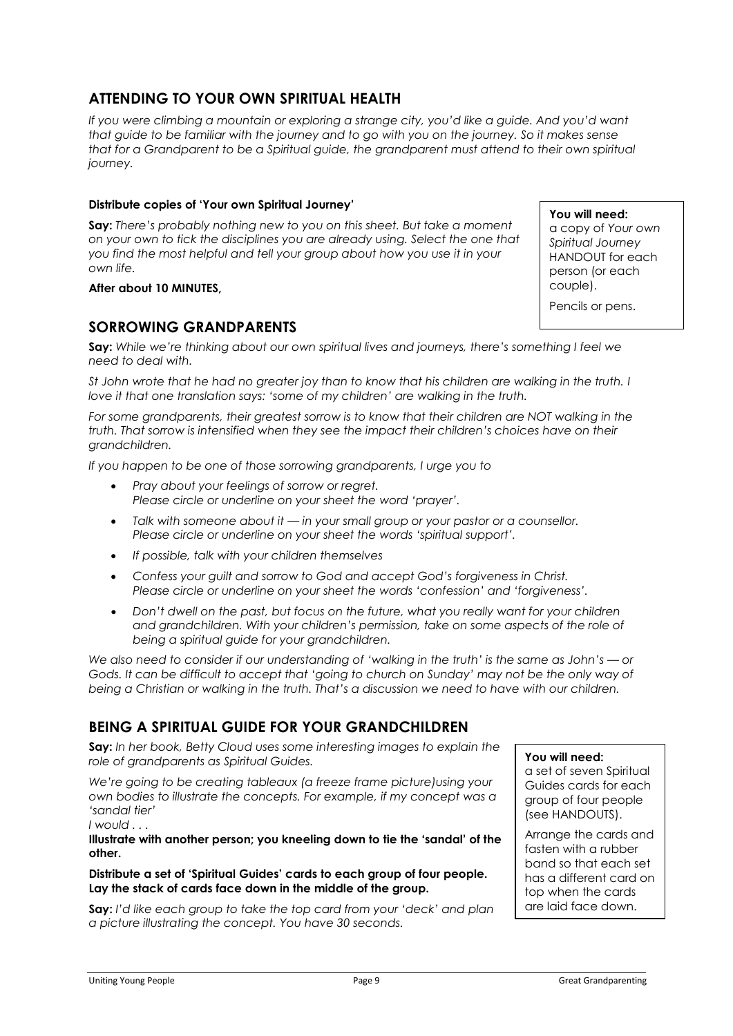### **ATTENDING TO YOUR OWN SPIRITUAL HEALTH**

*If you were climbing a mountain or exploring a strange city, you'd like a guide. And you'd want that guide to be familiar with the journey and to go with you on the journey. So it makes sense that for a Grandparent to be a Spiritual guide, the grandparent must attend to their own spiritual journey.*

#### **Distribute copies of 'Your own Spiritual Journey'**

**Say:** *There's probably nothing new to you on this sheet. But take a moment on your own to tick the disciplines you are already using. Select the one that you find the most helpful and tell your group about how you use it in your own life.*

#### **After about 10 MINUTES,**

#### **SORROWING GRANDPARENTS**

**Say:** *While we're thinking about our own spiritual lives and journeys, there's something I feel we need to deal with.*

*St John wrote that he had no greater joy than to know that his children are walking in the truth. I love it that one translation says: 'some of my children' are walking in the truth.*

*For some grandparents, their greatest sorrow is to know that their children are NOT walking in the truth. That sorrow is intensified when they see the impact their children's choices have on their grandchildren.*

*If you happen to be one of those sorrowing grandparents, I urge you to* 

- *Pray about your feelings of sorrow or regret. Please circle or underline on your sheet the word 'prayer'.*
- *Talk with someone about it — in your small group or your pastor or a counsellor. Please circle or underline on your sheet the words 'spiritual support'.*
- *If possible, talk with your children themselves*
- *Confess your guilt and sorrow to God and accept God's forgiveness in Christ. Please circle or underline on your sheet the words 'confession' and 'forgiveness'.*
- *Don't dwell on the past, but focus on the future, what you really want for your children and grandchildren. With your children's permission, take on some aspects of the role of being a spiritual guide for your grandchildren.*

*We also need to consider if our understanding of 'walking in the truth' is the same as John's — or Gods. It can be difficult to accept that 'going to church on Sunday' may not be the only way of being a Christian or walking in the truth. That's a discussion we need to have with our children.*

### **BEING A SPIRITUAL GUIDE FOR YOUR GRANDCHILDREN**

**Say:** *In her book, Betty Cloud uses some interesting images to explain the role of grandparents as Spiritual Guides.* 

*We're going to be creating tableaux (a freeze frame picture)using your own bodies to illustrate the concepts. For example, if my concept was a 'sandal tier' I would . . .* 

**Illustrate with another person; you kneeling down to tie the 'sandal' of the other.**

#### **Distribute a set of 'Spiritual Guides' cards to each group of four people. Lay the stack of cards face down in the middle of the group.**

**Say:** *I'd like each group to take the top card from your 'deck' and plan a picture illustrating the concept. You have 30 seconds.*

**You will need:**

a set of seven Spiritual Guides cards for each group of four people (see HANDOUTS).

Arrange the cards and fasten with a rubber band so that each set has a different card on top when the cards are laid face down.

**You will need:**  a copy of *Your own Spiritual Journey* HANDOUT for each person (or each couple).

Pencils or pens.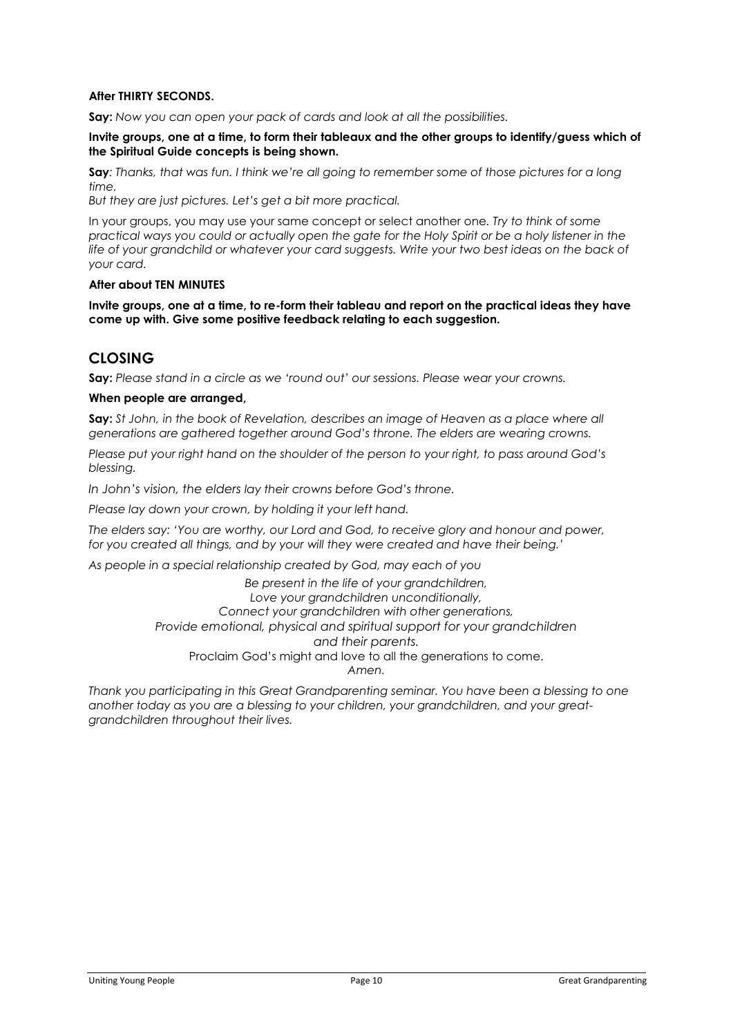#### **After THIRTY SECONDS.**

**Say:** *Now you can open your pack of cards and look at all the possibilities.*

**Invite groups, one at a time, to form their tableaux and the other groups to identify/guess which of the Spiritual Guide concepts is being shown.**

**Say***: Thanks, that was fun. I think we're all going to remember some of those pictures for a long time.* 

*But they are just pictures. Let's get a bit more practical.*

In your groups, you may use your same concept or select another one*. Try to think of some practical ways you could or actually open the gate for the Holy Spirit or be a holy listener in the*  life of your grandchild or whatever your card suggests. Write your two best ideas on the back of *your card.*

#### **After about TEN MINUTES**

**Invite groups, one at a time, to re-form their tableau and report on the practical ideas they have come up with. Give some positive feedback relating to each suggestion.**

### **CLOSING**

**Say:** *Please stand in a circle as we 'round out' our sessions. Please wear your crowns.*

#### **When people are arranged,**

**Say:** *St John, in the book of Revelation, describes an image of Heaven as a place where all generations are gathered together around God's throne. The elders are wearing crowns.* 

*Please put your right hand on the shoulder of the person to your right, to pass around God's blessing.*

*In John's vision, the elders lay their crowns before God's throne.*

*Please lay down your crown, by holding it your left hand.*

*The elders say: 'You are worthy, our Lord and God, to receive glory and honour and power, for you created all things, and by your will they were created and have their being.'*

*As people in a special relationship created by God, may each of you*

*Be present in the life of your grandchildren, Love your grandchildren unconditionally, Connect your grandchildren with other generations, Provide emotional, physical and spiritual support for your grandchildren and their parents.* Proclaim God's might and love to all the generations to come. *Amen.*

*Thank you participating in this Great Grandparenting seminar. You have been a blessing to one another today as you are a blessing to your children, your grandchildren, and your greatgrandchildren throughout their lives.*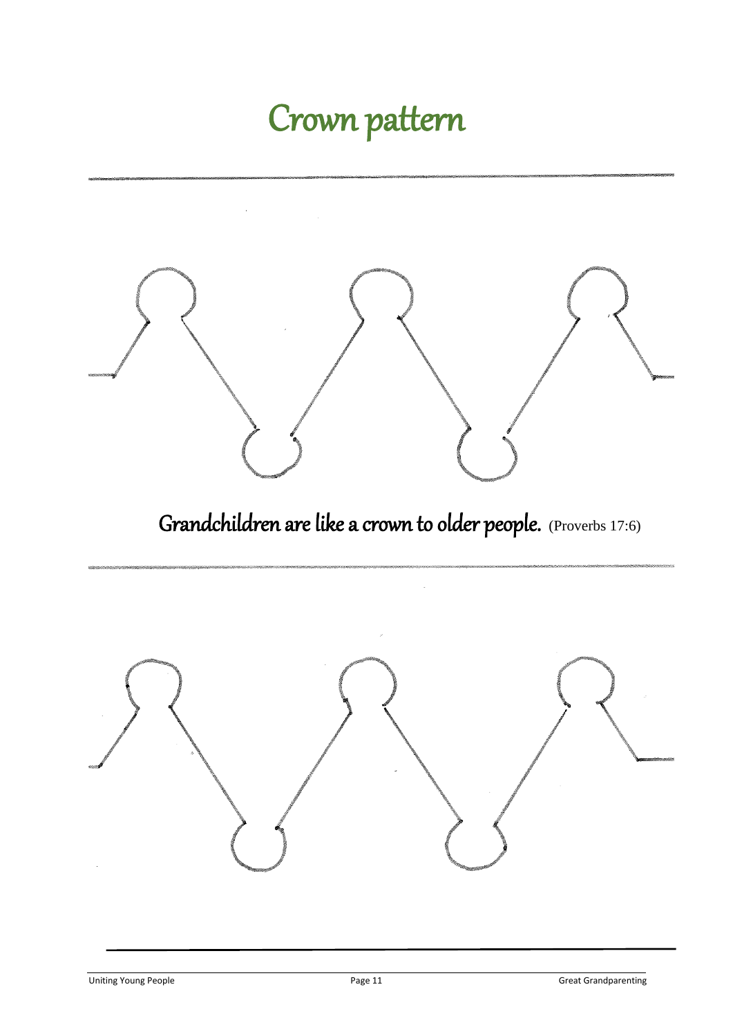# Crown pattern

 $\bar{1}$ 



Grandchildren are like a crown to older people. (Proverbs 17:6)

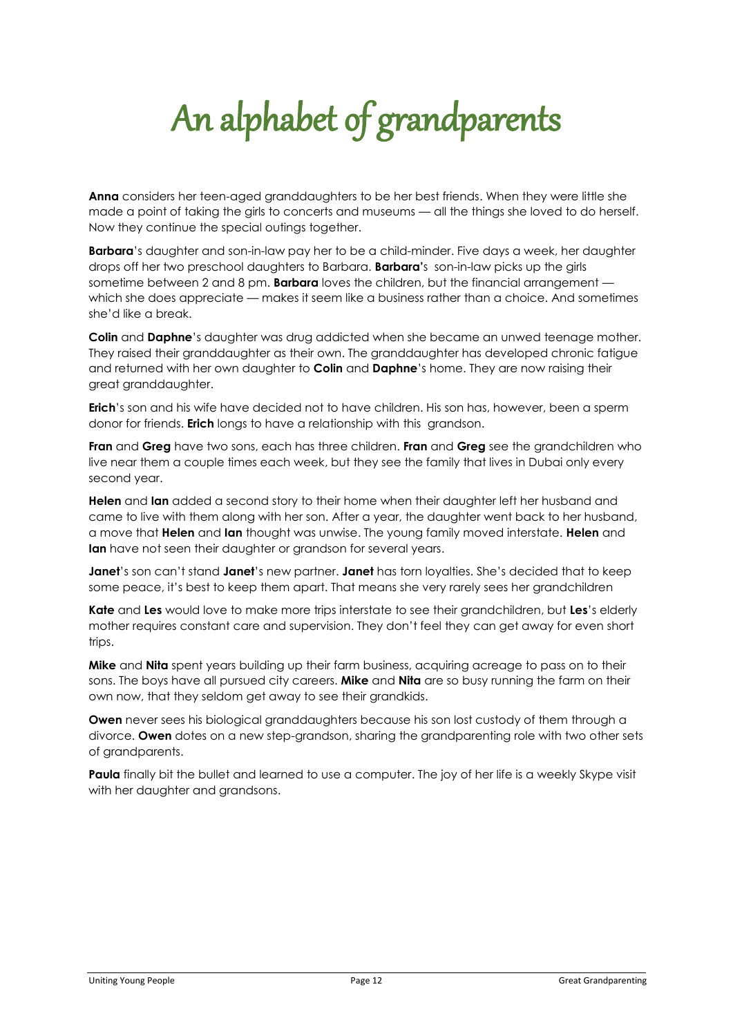# An alphabet of grandparents

**Anna** considers her teen-aged granddaughters to be her best friends. When they were little she made a point of taking the girls to concerts and museums — all the things she loved to do herself. Now they continue the special outings together.

**Barbara**'s daughter and son-in-law pay her to be a child-minder. Five days a week, her daughter drops off her two preschool daughters to Barbara. **Barbara'**s son-in-law picks up the girls sometime between 2 and 8 pm. **Barbara** loves the children, but the financial arrangement which she does appreciate — makes it seem like a business rather than a choice. And sometimes she'd like a break.

**Colin** and **Daphne**'s daughter was drug addicted when she became an unwed teenage mother. They raised their granddaughter as their own. The granddaughter has developed chronic fatigue and returned with her own daughter to **Colin** and **Daphne**'s home. They are now raising their great granddaughter.

**Erich**'s son and his wife have decided not to have children. His son has, however, been a sperm donor for friends. **Erich** longs to have a relationship with this grandson.

**Fran** and **Greg** have two sons, each has three children. **Fran** and **Greg** see the grandchildren who live near them a couple times each week, but they see the family that lives in Dubai only every second year.

**Helen** and **Ian** added a second story to their home when their daughter left her husband and came to live with them along with her son. After a year, the daughter went back to her husband, a move that **Helen** and **Ian** thought was unwise. The young family moved interstate. **Helen** and **Ian** have not seen their daughter or grandson for several years.

**Janet**'s son can't stand **Janet**'s new partner. **Janet** has torn loyalties. She's decided that to keep some peace, it's best to keep them apart. That means she very rarely sees her grandchildren

**Kate** and **Les** would love to make more trips interstate to see their grandchildren, but **Les**'s elderly mother requires constant care and supervision. They don't feel they can get away for even short trips.

**Mike** and **Nita** spent years building up their farm business, acquiring acreage to pass on to their sons. The boys have all pursued city careers. **Mike** and **Nita** are so busy running the farm on their own now, that they seldom get away to see their grandkids.

**Owen** never sees his biological granddaughters because his son lost custody of them through a divorce. **Owen** dotes on a new step-grandson, sharing the grandparenting role with two other sets of grandparents.

**Paula** finally bit the bullet and learned to use a computer. The joy of her life is a weekly Skype visit with her daughter and grandsons.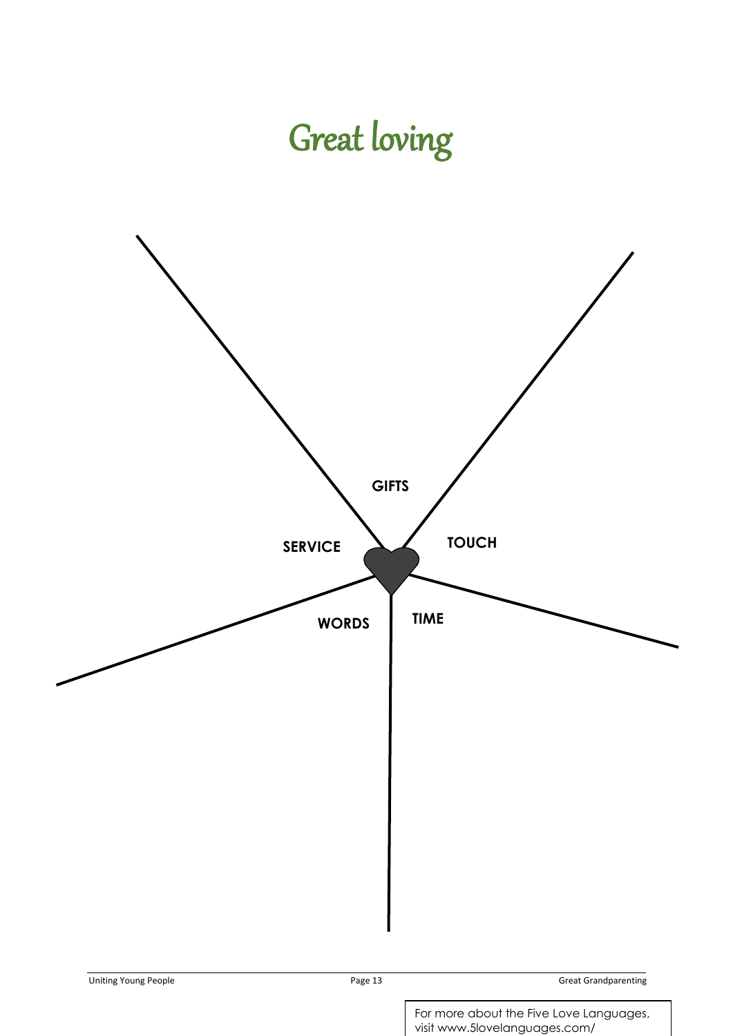# Great loving

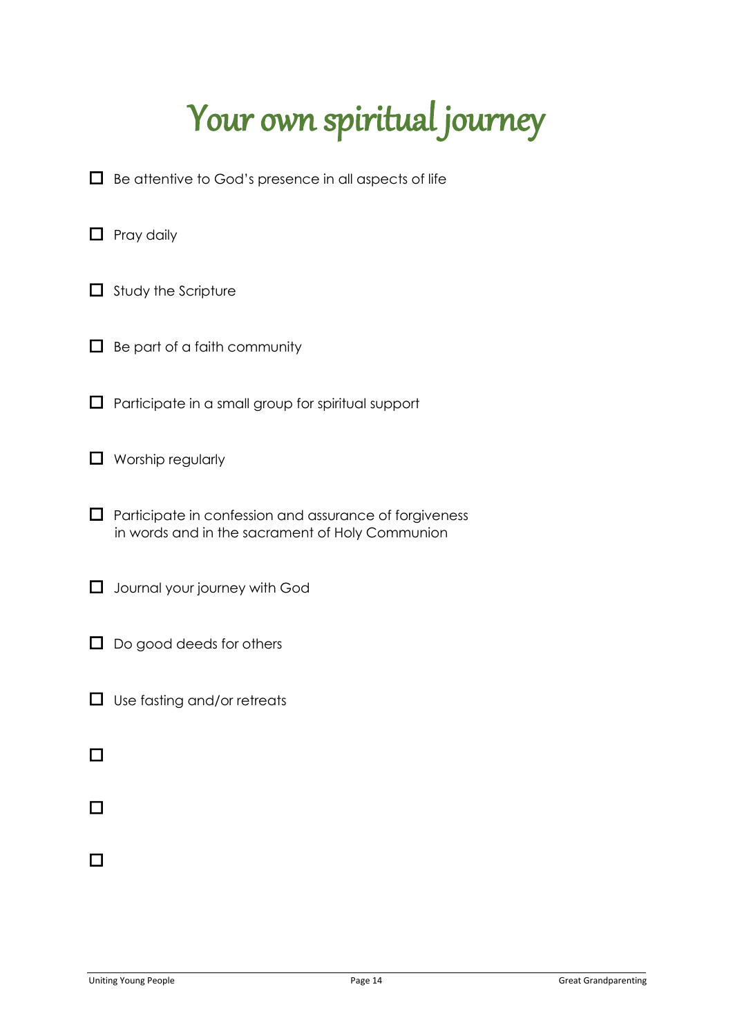# Your own spiritual journey

- □ Be attentive to God's presence in all aspects of life
- **1** Pray daily
- $\Box$  Study the Scripture
- $\Box$  Be part of a faith community
- Participate in a small group for spiritual support
- Worship regularly
- Participate in confession and assurance of forgiveness in words and in the sacrament of Holy Communion
- Journal your journey with God
- □ Do good deeds for others
- □ Use fasting and/or retreats
- 
- 
-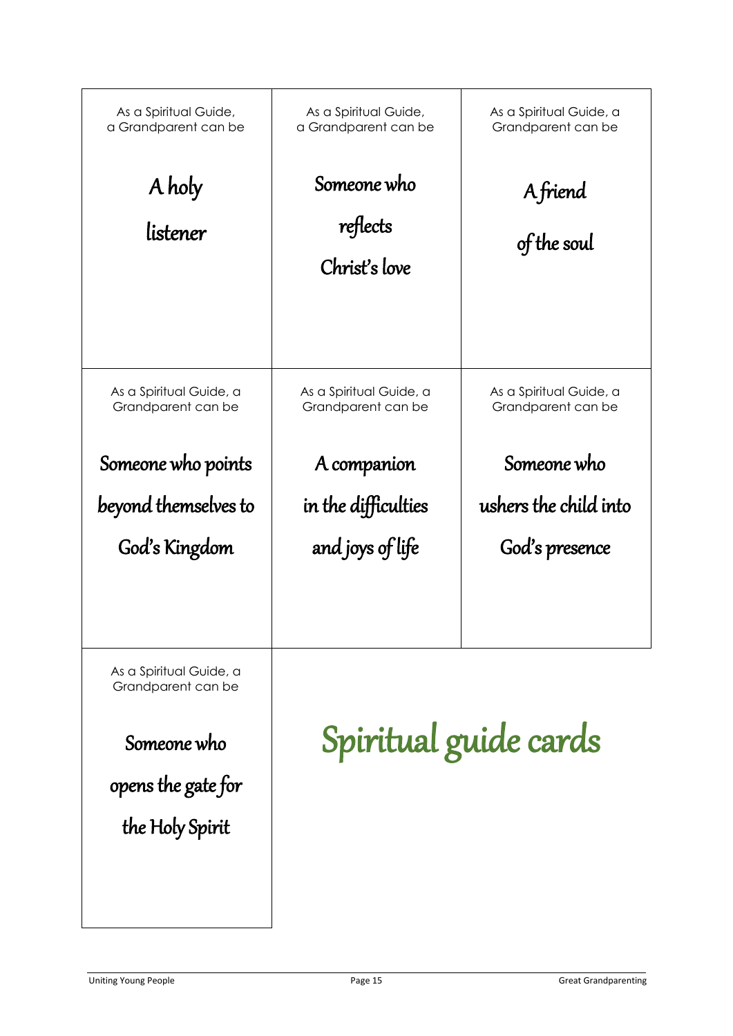| As a Spiritual Guide,<br>a Grandparent can be                                                         | As a Spiritual Guide,<br>a Grandparent can be | As a Spiritual Guide, a<br>Grandparent can be |
|-------------------------------------------------------------------------------------------------------|-----------------------------------------------|-----------------------------------------------|
| A holy<br>listener                                                                                    | Someone who<br>reflects<br>Christ's love      | A friend<br>of the soul                       |
| As a Spiritual Guide, a<br>Grandparent can be                                                         | As a Spiritual Guide, a<br>Grandparent can be | As a Spiritual Guide, a<br>Grandparent can be |
| Someone who points                                                                                    | A companion                                   | Someone who                                   |
| beyond themselves to                                                                                  | in the difficulties                           | ushers the child into                         |
| God's Kingdom                                                                                         | and joys of life                              | God's presence                                |
| As a Spiritual Guide, a<br>Grandparent can be<br>Someone who<br>opens the gate for<br>the Holy Spirit | Spiritual guide cards                         |                                               |
|                                                                                                       |                                               |                                               |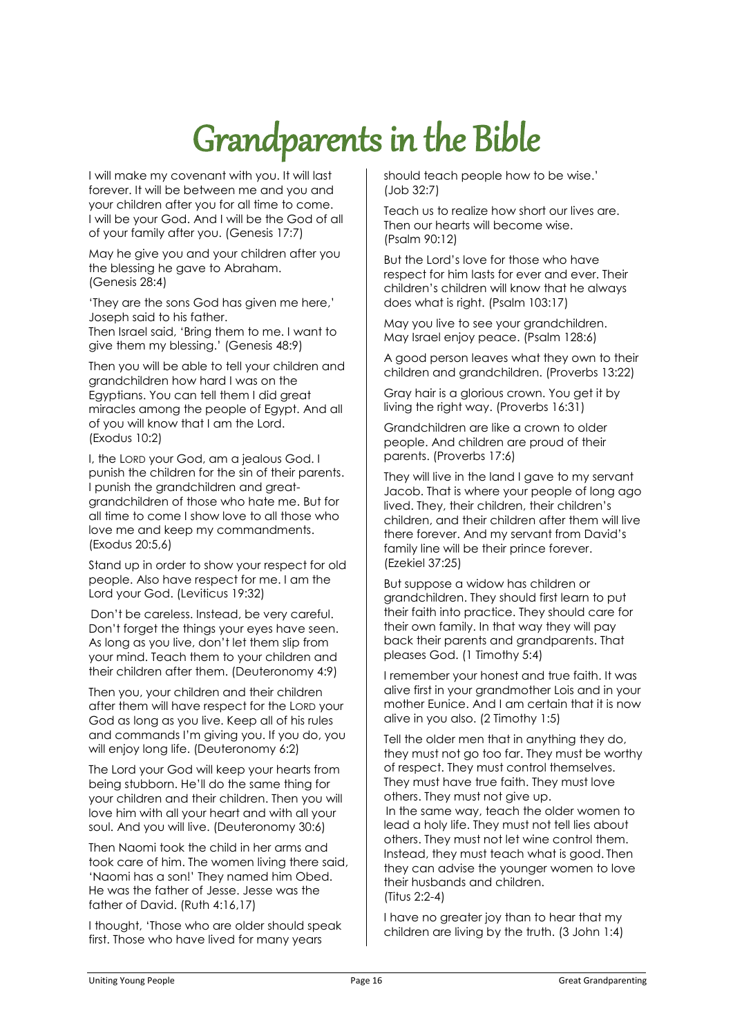# Grandparents in the Bible

I will make my covenant with you. It will last forever. It will be between me and you and your children after you for all time to come. I will be your God. And I will be the God of all of your family after you. (Genesis 17:7)

May he give you and your children after you the blessing he gave to Abraham. (Genesis 28:4)

'They are the sons God has given me here,' Joseph said to his father.

Then Israel said, 'Bring them to me. I want to give them my blessing.' (Genesis 48:9)

Then you will be able to tell your children and grandchildren how hard I was on the Egyptians. You can tell them I did great miracles among the people of Egypt. And all of you will know that I am the Lord. (Exodus 10:2)

I, the LORD your God, am a jealous God. I punish the children for the sin of their parents. I punish the grandchildren and areatgrandchildren of those who hate me. But for all time to come I show love to all those who love me and keep my commandments. (Exodus 20:5,6)

Stand up in order to show your respect for old people. Also have respect for me. I am the Lord your God. (Leviticus 19:32)

Don't be careless. Instead, be very careful. Don't forget the things your eyes have seen. As long as you live, don't let them slip from your mind. Teach them to your children and their children after them. (Deuteronomy 4:9)

Then you, your children and their children after them will have respect for the LORD your God as long as you live. Keep all of his rules and commands I'm giving you. If you do, you will enjoy long life. (Deuteronomy 6:2)

The Lord your God will keep your hearts from being stubborn. He'll do the same thing for your children and their children. Then you will love him with all your heart and with all your soul. And you will live. (Deuteronomy 30:6)

Then Naomi took the child in her arms and took care of him. The women living there said, 'Naomi has a son!' They named him Obed. He was the father of Jesse. Jesse was the father of David. (Ruth 4:16,17)

I thought, 'Those who are older should speak first. Those who have lived for many years

should teach people how to be wise.' (Job 32:7)

Teach us to realize how short our lives are. Then our hearts will become wise. (Psalm 90:12)

But the Lord's love for those who have respect for him lasts for ever and ever. Their children's children will know that he always does what is right. (Psalm 103:17)

May you live to see your grandchildren. May Israel enjoy peace. (Psalm 128:6)

A good person leaves what they own to their children and grandchildren. (Proverbs 13:22)

Gray hair is a glorious crown. You get it by living the right way. (Proverbs 16:31)

Grandchildren are like a crown to older people. And children are proud of their parents. (Proverbs 17:6)

They will live in the land I gave to my servant Jacob. That is where your people of long ago lived. They, their children, their children's children, and their children after them will live there forever. And my servant from David's family line will be their prince forever. (Ezekiel 37:25)

But suppose a widow has children or grandchildren. They should first learn to put their faith into practice. They should care for their own family. In that way they will pay back their parents and grandparents. That pleases God. (1 Timothy 5:4)

I remember your honest and true faith. It was alive first in your grandmother Lois and in your mother Eunice. And I am certain that it is now alive in you also. (2 Timothy 1:5)

Tell the older men that in anything they do, they must not go too far. They must be worthy of respect. They must control themselves. They must have true faith. They must love others. They must not give up. In the same way, teach the older women to lead a holy life. They must not tell lies about

others. They must not let wine control them. Instead, they must teach what is good. Then they can advise the younger women to love their husbands and children. (Titus 2:2-4)

I have no greater joy than to hear that my children are living by the truth. (3 John 1:4)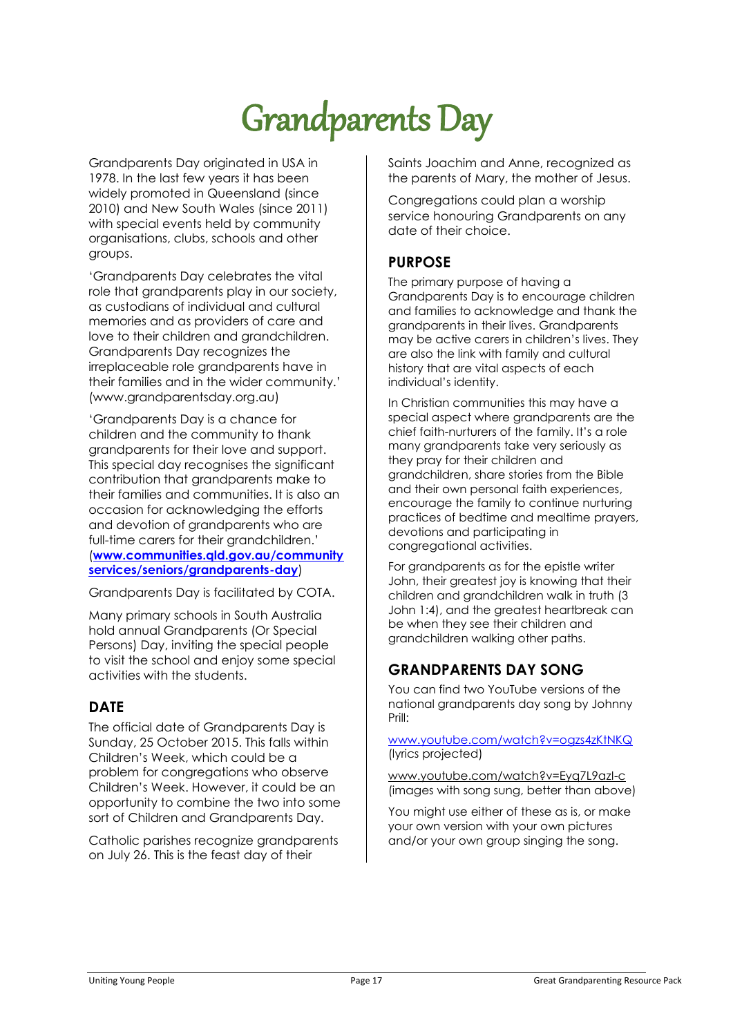# Grandparents Day

Grandparents Day originated in USA in 1978. In the last few years it has been widely promoted in Queensland (since 2010) and New South Wales (since 2011) with special events held by community organisations, clubs, schools and other groups.

'Grandparents Day celebrates the vital role that grandparents play in our society, as custodians of individual and cultural memories and as providers of care and love to their children and grandchildren. Grandparents Day recognizes the irreplaceable role grandparents have in their families and in the wider community.' (www.grandparentsday.org.au)

'Grandparents Day is a chance for children and the community to thank grandparents for their love and support. This special day recognises the significant contribution that grandparents make to their families and communities. It is also an occasion for acknowledging the efforts and devotion of grandparents who are full-time carers for their grandchildren.' (**[www.communities.qld.gov.au/community](http://www.communities.qld.gov.au/communityservices/seniors/grandparents-day) [services/seniors/grandparents-day](http://www.communities.qld.gov.au/communityservices/seniors/grandparents-day)**)

Grandparents Day is facilitated by COTA.

Many primary schools in South Australia hold annual Grandparents (Or Special Persons) Day, inviting the special people to visit the school and enjoy some special activities with the students.

## **DATE**

The official date of Grandparents Day is Sunday, 25 October 2015. This falls within Children's Week, which could be a problem for congregations who observe Children's Week. However, it could be an opportunity to combine the two into some sort of Children and Grandparents Day.

Catholic parishes recognize grandparents on July 26. This is the feast day of their

Saints Joachim and Anne, recognized as the parents of Mary, the mother of Jesus.

Congregations could plan a worship service honouring Grandparents on any date of their choice.

### **PURPOSE**

The primary purpose of having a Grandparents Day is to encourage children and families to acknowledge and thank the grandparents in their lives. Grandparents may be active carers in children's lives. They are also the link with family and cultural history that are vital aspects of each individual's identity.

In Christian communities this may have a special aspect where grandparents are the chief faith-nurturers of the family. It's a role many grandparents take very seriously as they pray for their children and grandchildren, share stories from the Bible and their own personal faith experiences, encourage the family to continue nurturing practices of bedtime and mealtime prayers, devotions and participating in congregational activities.

For grandparents as for the epistle writer John, their greatest joy is knowing that their children and grandchildren walk in truth (3 John 1:4), and the greatest heartbreak can be when they see their children and grandchildren walking other paths.

## **GRANDPARENTS DAY SONG**

You can find two YouTube versions of the national grandparents day song by Johnny Prill:

[www.youtube.com/watch?v=ogzs4zKtNKQ](http://www.youtube.com/watch?v=ogzs4zKtNKQ) (lyrics projected)

[www.youtube.com/watch?v=Eyq7L9azI-c](https://www.youtube.com/watch?v=Eyq7L9azI-c)  (images with song sung, better than above)

You might use either of these as is, or make your own version with your own pictures and/or your own group singing the song.